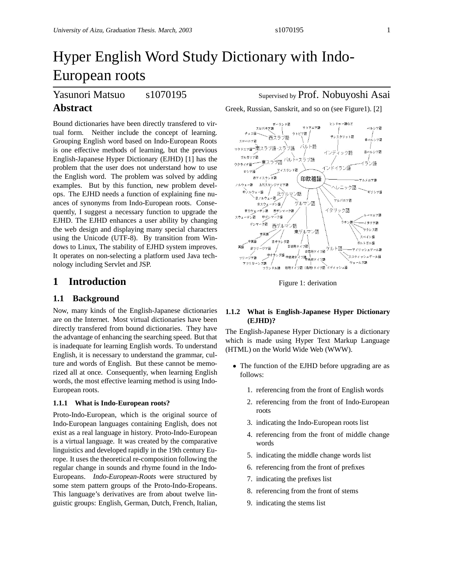# Hyper English Word Study Dictionary with Indo-European roots

Yasunori Matsuo s1070195 Supervised by Prof. Nobuyoshi Asai

# **Abstract**

Bound dictionaries have been directly transfered to virtual form. Neither include the concept of learning. Grouping English word based on Indo-European Roots is one effective methods of learning, but the previous English-Japanese Hyper Dictionary (EJHD) [1] has the problem that the user does not understand how to use the English word. The problem was solved by adding examples. But by this function, new problem develops. The EJHD needs a function of explaining fine nuances of synonyms from Indo-European roots. Consequently, I suggest a necessary function to upgrade the EJHD. The EJHD enhances a user ability by changing the web design and displaying many special characters using the Unicode (UTF-8). By transition from Windows to Linux, The stability of EJHD system improves. It operates on non-selecting a platform used Java technology including Servlet and JSP.

# **1 Introduction**

#### **1.1 Background**

Now, many kinds of the English-Japanese dictionaries are on the Internet. Most virtual dictionaries have been directly transfered from bound dictionaries. They have the advantage of enhancing the searching speed. But that is inadequate for learning English words. To understand English, it is necessary to understand the grammar, culture and words of English. But these cannot be memorized all at once. Consequently, when learning English words, the most effective learning method is using Indo-European roots.

#### **1.1.1 What is Indo-European roots?**

Proto-Indo-European, which is the original source of Indo-European languages containing English, does not exist as a real language in history. Proto-Indo-European is a virtual language. It was created by the comparative linguistics and developed rapidly in the 19th century Europe. It uses the theoretical re-composition following the regular change in sounds and rhyme found in the Indo-Europeans. Indo-European-Roots were structured by some stem pattern groups of the Proto-Indo-Eropeans. This language's derivatives are from about twelve linguistic groups: English, German, Dutch, French, Italian,

Greek, Russian, Sanskrit, and so on (see Figure1). [2]



Figure 1: derivation

#### **1.1.2 What is English-Japanese Hyper Dictionary (EJHD)?**

The English-Japanese Hyper Dictionary is a dictionary which is made using Hyper Text Markup Language (HTML) on the World Wide Web (WWW).

- The function of the EJHD before upgrading are as follows:
	- 1. referencing from the front of English words
	- 2. referencing from the front of Indo-European roots
	- 3. indicating the Indo-European roots list
	- 4. referencing from the front of middle change words
	- 5. indicating the middle change words list
	- 6. referencing from the front of prefixes
	- 7. indicating the prefixes list
	- 8. referencing from the front of stems
	- 9. indicating the stems list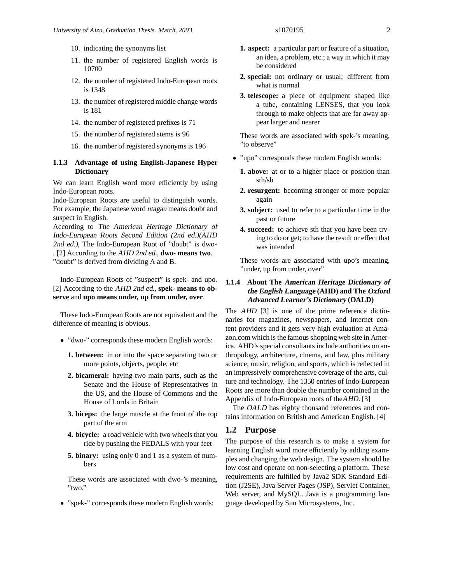- 10. indicating the synonyms list
- 11. the number of registered English words is 10700
- 12. the number of registered Indo-European roots is 1348
- 13. the number of registered middle change words is 181
- 14. the number of registered prefixes is 71
- 15. the number of registered stems is 96
- 16. the number of registered synonyms is 196

#### **1.1.3 Advantage of using English-Japanese Hyper Dictionary**

We can learn English word more efficiently by using Indo-European roots.

Indo-European Roots are useful to distinguish words. For example, the Japanese word utagau means doubt and suspect in English.

According to The American Heritage Dictionary of Indo-European Roots Second Edition (2nd ed.)(AHD 2nd ed.), The Indo-European Root of "doubt" is dwo- . [2] According to the AHD 2nd ed., **dwo- means two**. "doubt" is derived from dividing A and B.

Indo-European Roots of "suspect" is spek- and upo.

[2] According to the AHD 2nd ed., **spek- means to observe** and **upo means under, up from under, over**.

These Indo-European Roots are not equivalent and the difference of meaning is obvious.

- "dwo-" corresponds these modern English words:
	- **1. between:** in or into the space separating two or more points, objects, people, etc
	- **2. bicameral:** having two main parts, such as the Senate and the House of Representatives in the US, and the House of Commons and the House of Lords in Britain
	- **3. biceps:** the large muscle at the front of the top part of the arm
	- **4. bicycle:** a road vehicle with two wheels that you ride by pushing the PEDALS with your feet
	- **5. binary:** using only 0 and 1 as a system of numbers

These words are associated with dwo-'s meaning,  $"$ two."

• "spek-" corresponds these modern English words:

- **1. aspect:** a particular part or feature of a situation, an idea, a problem, etc.; a way in which it may be considered
- **2. special:** not ordinary or usual; different from what is normal
- **3. telescope:** a piece of equipment shaped like a tube, containing LENSES, that you look through to make objects that are far away appear larger and nearer

These words are associated with spek-'s meaning, "to observe"

- "upo" corresponds these modern English words:
	- **1. above:** at or to a higher place or position than sth/sb
	- **2. resurgent:** becoming stronger or more popular again
	- **3. subject:** used to refer to a particular time in the past or future
	- **4. succeed:** to achieve sth that you have been trying to do or get; to have the result or effect that was intended

These words are associated with upo's meaning, "under, up from under, over"

#### **1.1.4 About The American Heritage Dictionary of the English Language (AHD) and The Oxford Advanced Learner's Dictionary (OALD)**

The AHD [3] is one of the prime reference dictionaries for magazines, newspapers, and Internet content providers and it gets very high evaluation at Amazon.com which is the famous shopping web site in America. AHD's special consultants include authorities on anthropology, architecture, cinema, and law, plus military science, music, religion, and sports, which is reflected in an impressively comprehensive coverage of the arts, culture and technology. The 1350 entries of Indo-European Roots are more than double the number contained in the Appendix of Indo-European roots of theAHD. [3]

The OALD has eighty thousand references and contains information on British and American English. [4]

#### **1.2 Purpose**

The purpose of this research is to make a system for learning English word more efficiently by adding examples and changing the web design. The system should be low cost and operate on non-selecting a platform. These requirements are fulfilled by Java2 SDK Standard Edition (J2SE), Java Server Pages (JSP), Servlet Container, Web server, and MySQL. Java is a programming language developed by Sun Microsystems, Inc.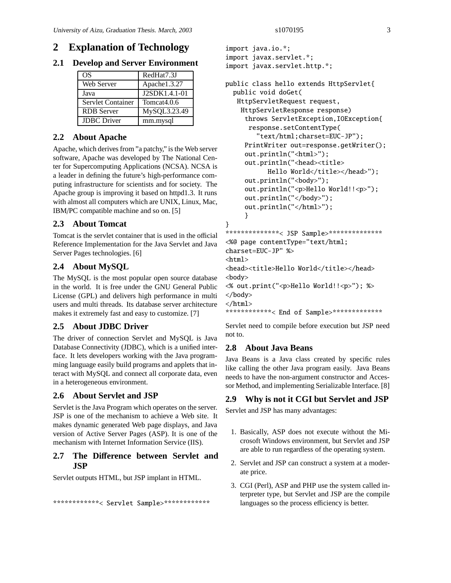# **2 Explanation of Technology**

**2.1 Develop and Server Environment**

| OS                 | RedHat7.3J              |
|--------------------|-------------------------|
| Web Server         | Apache1.3.27            |
| Java               | J2SDK1.4.1-01           |
| Servlet Container  | Tomcat <sub>4.0.6</sub> |
| <b>RDB</b> Server  | MySQL3.23.49            |
| <b>IDBC</b> Driver | mm.mysql                |

# **2.2 About Apache**

Apache, which derives from "a patchy," is the Web server software, Apache was developed by The National Center for Supercomputing Applications (NCSA). NCSA is a leader in defining the future's high-performance computing infrastructure for scientists and for society. The Apache group is improving it based on httpd1.3. It runs with almost all computers which are UNIX, Linux, Mac, IBM/PC compatible machine and so on. [5]

# **2.3 About Tomcat**

Tomcat is the servlet container that is used in the official Reference Implementation for the Java Servlet and Java Server Pages technologies. [6]

# **2.4 About MySQL**

The MySQL is the most popular open source database in the world. It is free under the GNU General Public License (GPL) and delivers high performance in multi users and multi threads. Its database server architecture makes it extremely fast and easy to customize. [7]

#### **2.5 About JDBC Driver**

The driver of connection Servlet and MySQL is Java Database Connectivity (JDBC), which is a unified interface. It lets developers working with the Java programming language easily build programs and applets that interact with MySQL and connect all corporate data, even in a heterogeneous environment.

#### **2.6 About Servlet and JSP**

Servlet is the Java Program which operates on the server. JSP is one of the mechanism to achieve a Web site. It makes dynamic generated Web page displays, and Java version of Active Server Pages (ASP). It is one of the mechanism with Internet Information Service (IIS).

## **2.7 The Di**ff**erence between Servlet and JSP**

Servlet outputs HTML, but JSP implant in HTML.

\*\*\*\*\*\*\*\*\*\*\*\*< Servlet Sample>\*\*\*\*\*\*\*\*\*\*\*\*\*

```
import java.io.*;
import javax.servlet.*;
import javax.servlet.http.*;
```

```
public class hello extends HttpServlet{
 public void doGet(
  HttpServletRequest request,
   HttpServletResponse response)
     throws ServletException,IOException{
      response.setContentType(
        "text/html;charset=EUC-JP");
     PrintWriter out=response.getWriter();
     out.println("<html>");
     out.println("<head><title>
           Hello World</title></head>");
     out.println("<br/>body>");
     out.println("<p>Hello World!!<p>");
     out.println("</body>");
     out.println("</html>");
     }
}
***************< JSP Sample>***************
<%@ page contentType="text/html;
charset=EUC-JP" %>
<html><head><title>Hello World</title></head>
<body>
```

```
<% out.print("<p>Hello World!!<p>"); %>
</body>
```

```
</html>
```

```
************< End of Sample>**************
```
Servlet need to compile before execution but JSP need not to.

### **2.8 About Java Beans**

Java Beans is a Java class created by specific rules like calling the other Java program easily. Java Beans needs to have the non-argument constructor and Accessor Method, and implementing Serializable Interface. [8]

#### **2.9 Why is not it CGI but Servlet and JSP**

Servlet and JSP has many advantages:

- 1. Basically, ASP does not execute without the Microsoft Windows environment, but Servlet and JSP are able to run regardless of the operating system.
- 2. Servlet and JSP can construct a system at a moderate price.
- 3. CGI (Perl), ASP and PHP use the system called interpreter type, but Servlet and JSP are the compile languages so the process efficiency is better.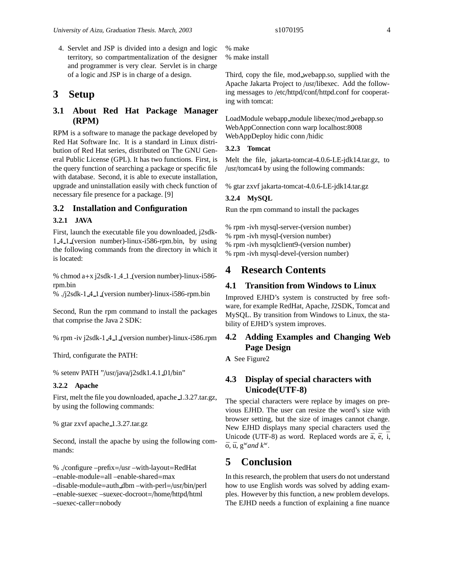4. Servlet and JSP is divided into a design and logic territory, so compartmentalization of the designer and programmer is very clear. Servlet is in charge of a logic and JSP is in charge of a design.

# **3 Setup**

# **3.1 About Red Hat Package Manager (RPM)**

RPM is a software to manage the package developed by Red Hat Software Inc. It is a standard in Linux distribution of Red Hat series, distributed on The GNU General Public License (GPL). It has two functions. First, is the query function of searching a package or specific file with database. Second, it is able to execute installation, upgrade and uninstallation easily with check function of necessary file presence for a package. [9]

#### **3.2 Installation and Configuration**

#### **3.2.1 JAVA**

First, launch the executable file you downloaded, j2sdk-1 4 1 (version number)-linux-i586-rpm.bin, by using the following commands from the directory in which it is located:

% chmod  $a+x$  j2sdk-1 4 1 (version number)-linux-i586rpm.bin

% ./j2sdk-1 4 1 (version number)-linux-i586-rpm.bin

Second, Run the rpm command to install the packages that comprise the Java 2 SDK:

% rpm -iv j2sdk-1 4 1 (version number)-linux-i586.rpm

Third, configurate the PATH:

% setenv PATH "/usr/java/j2sdk1.4.1 01/bin"

#### **3.2.2 Apache**

First, melt the file you downloaded, apache 1.3.27.tar.gz, by using the following commands:

% gtar zxvf apache 1.3.27.tar.gz

Second, install the apache by using the following commands:

% ./configure –prefix=/usr –with-layout=RedHat –enable-module=all –enable-shared=max –disable-module=auth dbm –with-perl=/usr/bin/perl –enable-suexec –suexec-docroot=/home/httpd/html –suexec-caller=nobody

% make install

Third, copy the file, mod webapp.so, supplied with the Apache Jakarta Project to /usr/libexec. Add the following messages to /etc/httpd/conf/httpd.conf for cooperating with tomcat:

LoadModule webapp module libexec/mod webapp.so WebAppConnection conn warp localhost:8008 WebAppDeploy hidic conn /hidic

#### **3.2.3 Tomcat**

Melt the file, jakarta-tomcat-4.0.6-LE-jdk14.tar.gz, to /usr/tomcat4 by using the following commands:

% gtar zxvf jakarta-tomcat-4.0.6-LE-jdk14.tar.gz

#### **3.2.4 MySQL**

Run the rpm command to install the packages

% rpm -ivh mysql-server-(version number)

- % rpm -ivh mysql-(version number)
- % rpm -ivh mysqlclient9-(version number)

% rpm -ivh mysql-devel-(version number)

# **4 Research Contents**

#### **4.1 Transition from Windows to Linux**

Improved EJHD's system is constructed by free software, for example RedHat, Apache, J2SDK, Tomcat and MySQL. By transition from Windows to Linux, the stability of EJHD's system improves.

#### **4.2 Adding Examples and Changing Web Page Design**

**A** See Figure2

### **4.3 Display of special characters with Unicode(UTF-8)**

The special characters were replace by images on previous EJHD. The user can resize the word's size with browser setting, but the size of images cannot change. New EJHD displays many special characters used the Unicode (UTF-8) as word. Replaced words are  $\bar{a}$ ,  $\bar{e}$ ,  $\bar{i}$ ,  $\bar{\mathrm{o}}, \bar{\mathrm{u}}, \mathrm{g}^w$ *and*  $k^w$ .

# **5 Conclusion**

In this research, the problem that users do not understand how to use English words was solved by adding examples. However by this function, a new problem develops. The EJHD needs a function of explaining a fine nuance